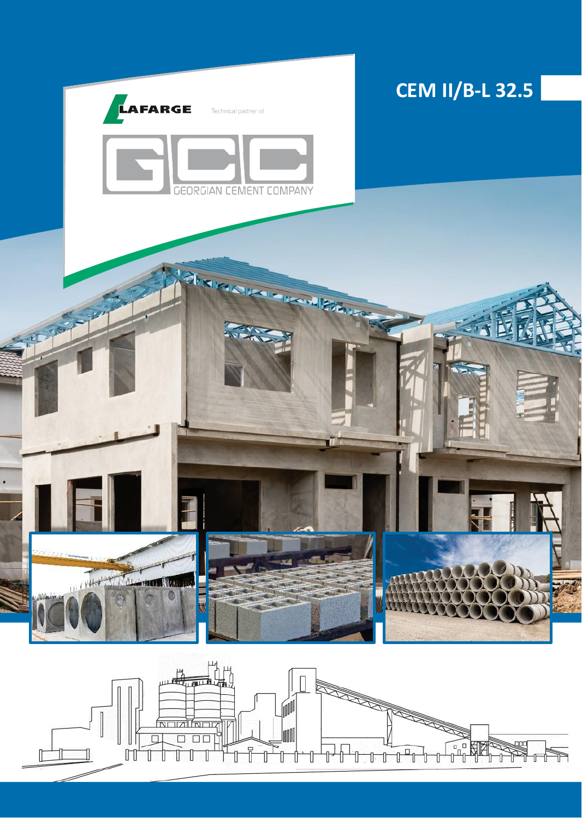

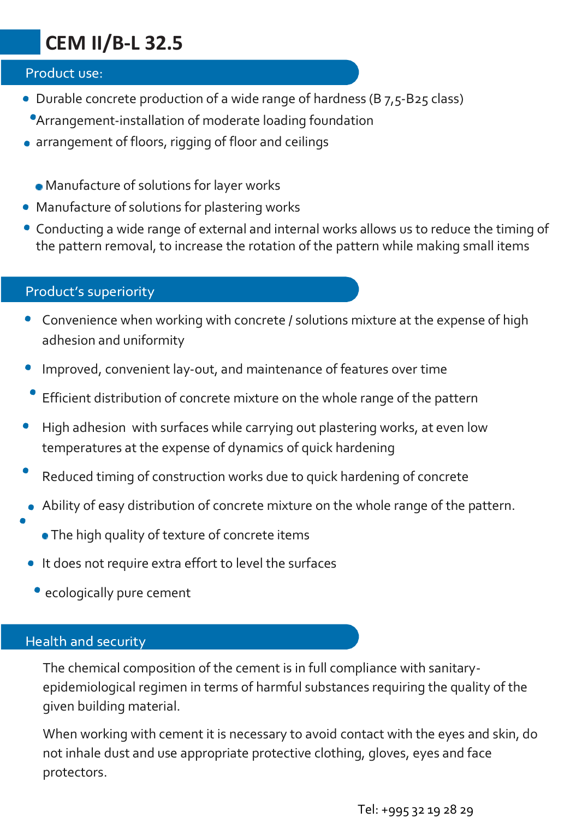## **CEM II/B-L 32.5**

## Product use:

- Durable concrete production of a wide range of hardness (B 7,5-B25 class)
	- Arrangement-installation of moderate loading foundation
- arrangement of floors, rigging of floor and ceilings
	- Manufacture of solutions for layer works
- Manufacture of solutions for plastering works
- Conducting a wide range of external and internal works allows us to reduce the timing of the pattern removal, to increase the rotation of the pattern while making small items

## Product's superiority

- Convenience when working with concrete / solutions mixture at the expense of high adhesion and uniformity
- Improved, convenient lay-out, and maintenance of features over time
- Efficient distribution of concrete mixture on the whole range of the pattern
- High adhesion with surfaces while carrying out plastering works, at even low temperatures at the expense of dynamics of quick hardening
- Reduced timing of construction works due to quick hardening of concrete
- Ability of easy distribution of concrete mixture on the whole range of the pattern.
	- The high quality of texture of concrete items
- It does not require extra effort to level the surfaces
	- ecologically pure cement

## Health and security

The chemical composition of the cement is in full compliance with sanitaryepidemiological regimen in terms of harmful substances requiring the quality of the given building material.

When working with cement it is necessary to avoid contact with the eyes and skin, do not inhale dust and use appropriate protective clothing, gloves, eyes and face protectors.